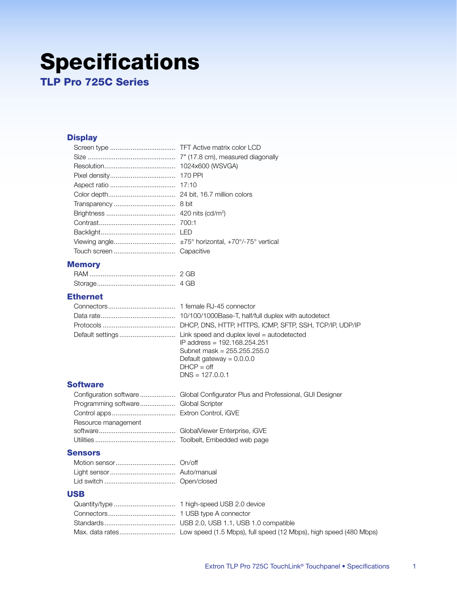# **Specifications**

**TLP Pro 725C Series** 

# **Display**

| 1024x600 (WSVGA) |
|------------------|
|                  |
|                  |
|                  |
|                  |
|                  |
|                  |
|                  |
|                  |
|                  |
|                  |

# **Memory**

| 4 GB |
|------|

### **Ethernet**

| IP address = 192.168.254.251<br>Subnet mask = $255.255.255.0$<br>Default gateway = $0.0.0.0$<br>$DHCP = off$<br>$DNS = 127.0.0.1$ |
|-----------------------------------------------------------------------------------------------------------------------------------|

#### **Software**

| Programming software Global Scripter |  |
|--------------------------------------|--|
|                                      |  |
| Resource management                  |  |
|                                      |  |
|                                      |  |

#### **Sensors**

#### **USB**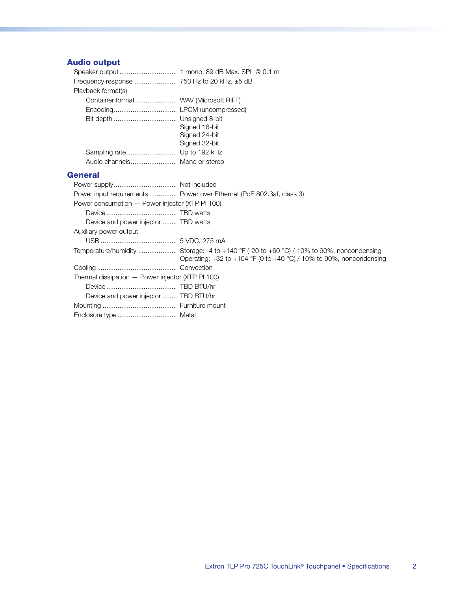# **Audio output**

| Playback format(s)                     |               |
|----------------------------------------|---------------|
| Container format  WAV (Microsoft RIFF) |               |
|                                        |               |
|                                        |               |
|                                        | Signed 16-bit |
|                                        | Signed 24-bit |
|                                        | Signed 32-bit |
|                                        |               |
| Audio channels Mono or stereo          |               |
|                                        |               |

#### **General**

|                                                   | Power input requirements  Power over Ethernet (PoE 802.3af, class 3)      |
|---------------------------------------------------|---------------------------------------------------------------------------|
| Power consumption - Power injector (XTP PI 100)   |                                                                           |
|                                                   |                                                                           |
| Device and power injector  TBD watts              |                                                                           |
| Auxiliary power output                            |                                                                           |
|                                                   |                                                                           |
|                                                   | Operating: $+32$ to $+104$ °F (0 to $+40$ °C) / 10% to 90%, noncondensing |
|                                                   |                                                                           |
| Thermal dissipation - Power injector (XTP PI 100) |                                                                           |
|                                                   |                                                                           |
| Device and power injector  TBD BTU/hr             |                                                                           |
|                                                   |                                                                           |
|                                                   |                                                                           |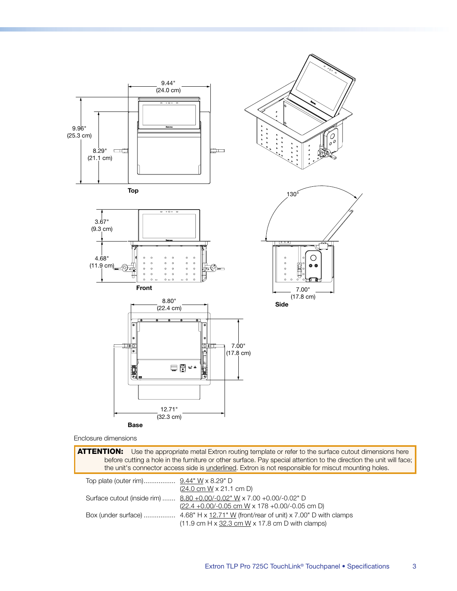

Enclosure dimensions

ATTENTION: Use the appropriate metal Extron routing template or refer to the surface cutout dimensions here before cutting a hole in the furniture or other surface. Pay special attention to the direction the unit will face; the unit's connector access side is <u>underlined</u>. Extron is not responsible for miscut mounting holes. 

| $(24.0 \text{ cm W} \times 21.1 \text{ cm D})$                                      |
|-------------------------------------------------------------------------------------|
| Surface cutout (inside rim)  8.80 +0.00/-0.02" W x 7.00 +0.00/-0.02" D              |
| $(22.4 + 0.00/- 0.05$ cm W x 178 +0.00/-0.05 cm D)                                  |
|                                                                                     |
| $(11.9 \text{ cm H} \times 32.3 \text{ cm W} \times 17.8 \text{ cm D with clamps})$ |